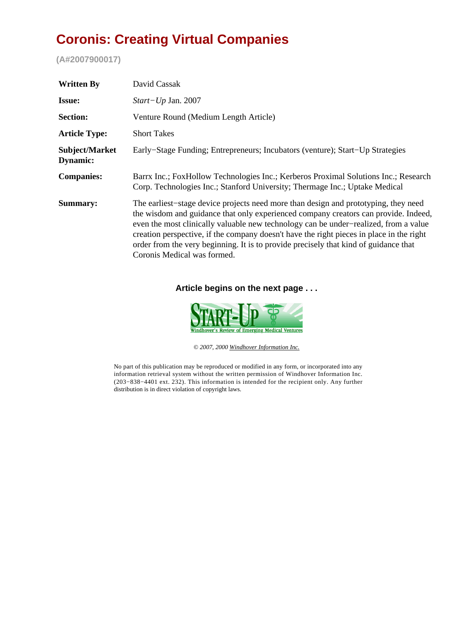## **Coronis: Creating Virtual Companies**

**(A#2007900017)**

| <b>Written By</b>          | David Cassak                                                                                                                                                                                                                                                                                                                                                                                                                                                                          |
|----------------------------|---------------------------------------------------------------------------------------------------------------------------------------------------------------------------------------------------------------------------------------------------------------------------------------------------------------------------------------------------------------------------------------------------------------------------------------------------------------------------------------|
| <b>Issue:</b>              | <i>Start-Up Jan.</i> 2007                                                                                                                                                                                                                                                                                                                                                                                                                                                             |
| <b>Section:</b>            | Venture Round (Medium Length Article)                                                                                                                                                                                                                                                                                                                                                                                                                                                 |
| <b>Article Type:</b>       | <b>Short Takes</b>                                                                                                                                                                                                                                                                                                                                                                                                                                                                    |
| Subject/Market<br>Dynamic: | Early–Stage Funding; Entrepreneurs; Incubators (venture); Start–Up Strategies                                                                                                                                                                                                                                                                                                                                                                                                         |
| <b>Companies:</b>          | Barrx Inc.; FoxHollow Technologies Inc.; Kerberos Proximal Solutions Inc.; Research<br>Corp. Technologies Inc.; Stanford University; Thermage Inc.; Uptake Medical                                                                                                                                                                                                                                                                                                                    |
| Summary:                   | The earliest-stage device projects need more than design and prototyping, they need<br>the wisdom and guidance that only experienced company creators can provide. Indeed,<br>even the most clinically valuable new technology can be under-realized, from a value<br>creation perspective, if the company doesn't have the right pieces in place in the right<br>order from the very beginning. It is to provide precisely that kind of guidance that<br>Coronis Medical was formed. |

## **Article begins on the next page . . .**



*© 2007, 2000 [Windhover Information Inc.](http://www.windhover.com)*

No part of this publication may be reproduced or modified in any form, or incorporated into any information retrieval system without the written permission of Windhover Information Inc. (203−838−4401 ext. 232). This information is intended for the recipient only. Any further distribution is in direct violation of copyright laws.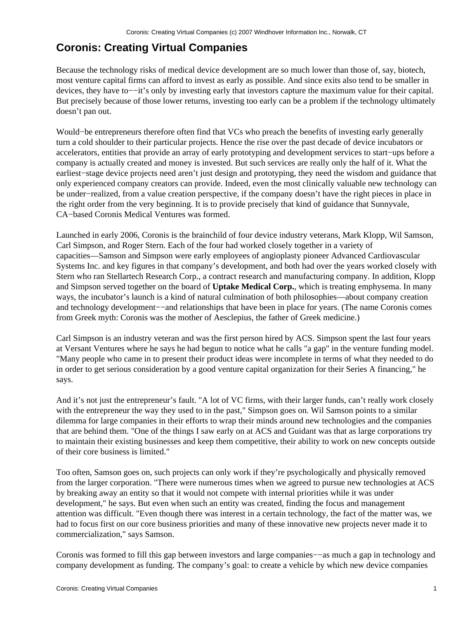## **Coronis: Creating Virtual Companies**

Because the technology risks of medical device development are so much lower than those of, say, biotech, most venture capital firms can afford to invest as early as possible. And since exits also tend to be smaller in devices, they have to−−it's only by investing early that investors capture the maximum value for their capital. But precisely because of those lower returns, investing too early can be a problem if the technology ultimately doesn't pan out.

Would−be entrepreneurs therefore often find that VCs who preach the benefits of investing early generally turn a cold shoulder to their particular projects. Hence the rise over the past decade of device incubators or accelerators, entities that provide an array of early prototyping and development services to start−ups before a company is actually created and money is invested. But such services are really only the half of it. What the earliest−stage device projects need aren't just design and prototyping, they need the wisdom and guidance that only experienced company creators can provide. Indeed, even the most clinically valuable new technology can be under−realized, from a value creation perspective, if the company doesn't have the right pieces in place in the right order from the very beginning. It is to provide precisely that kind of guidance that Sunnyvale, CA−based Coronis Medical Ventures was formed.

Launched in early 2006, Coronis is the brainchild of four device industry veterans, Mark Klopp, Wil Samson, Carl Simpson, and Roger Stern. Each of the four had worked closely together in a variety of capacities—Samson and Simpson were early employees of angioplasty pioneer Advanced Cardiovascular Systems Inc. and key figures in that company's development, and both had over the years worked closely with Stern who ran Stellartech Research Corp., a contract research and manufacturing company. In addition, Klopp and Simpson served together on the board of **Uptake Medical Corp.**, which is treating emphysema. In many ways, the incubator's launch is a kind of natural culmination of both philosophies—about company creation and technology development−−and relationships that have been in place for years. (The name Coronis comes from Greek myth: Coronis was the mother of Aesclepius, the father of Greek medicine.)

Carl Simpson is an industry veteran and was the first person hired by ACS. Simpson spent the last four years at Versant Ventures where he says he had begun to notice what he calls "a gap" in the venture funding model. "Many people who came in to present their product ideas were incomplete in terms of what they needed to do in order to get serious consideration by a good venture capital organization for their Series A financing," he says.

And it's not just the entrepreneur's fault. "A lot of VC firms, with their larger funds, can't really work closely with the entrepreneur the way they used to in the past," Simpson goes on. Wil Samson points to a similar dilemma for large companies in their efforts to wrap their minds around new technologies and the companies that are behind them. "One of the things I saw early on at ACS and Guidant was that as large corporations try to maintain their existing businesses and keep them competitive, their ability to work on new concepts outside of their core business is limited."

Too often, Samson goes on, such projects can only work if they're psychologically and physically removed from the larger corporation. "There were numerous times when we agreed to pursue new technologies at ACS by breaking away an entity so that it would not compete with internal priorities while it was under development," he says. But even when such an entity was created, finding the focus and management attention was difficult. "Even though there was interest in a certain technology, the fact of the matter was, we had to focus first on our core business priorities and many of these innovative new projects never made it to commercialization," says Samson.

Coronis was formed to fill this gap between investors and large companies−−as much a gap in technology and company development as funding. The company's goal: to create a vehicle by which new device companies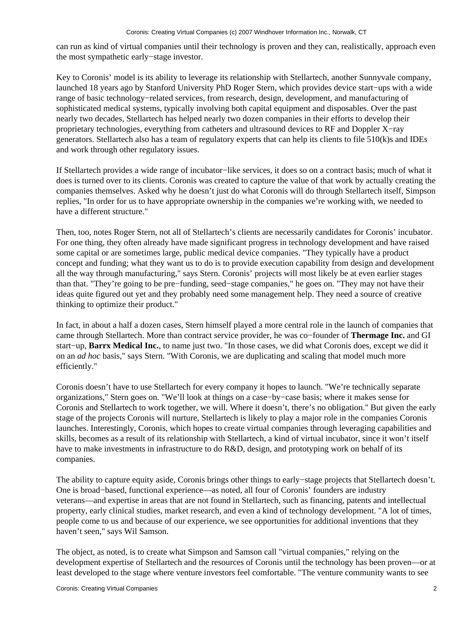can run as kind of virtual companies until their technology is proven and they can, realistically, approach even the most sympathetic early−stage investor.

Key to Coronis' model is its ability to leverage its relationship with Stellartech, another Sunnyvale company, launched 18 years ago by Stanford University PhD Roger Stern, which provides device start−ups with a wide range of basic technology−related services, from research, design, development, and manufacturing of sophisticated medical systems, typically involving both capital equipment and disposables. Over the past nearly two decades, Stellartech has helped nearly two dozen companies in their efforts to develop their proprietary technologies, everything from catheters and ultrasound devices to RF and Doppler X−ray generators. Stellartech also has a team of regulatory experts that can help its clients to file 510(k)s and IDEs and work through other regulatory issues.

If Stellartech provides a wide range of incubator−like services, it does so on a contract basis; much of what it does is turned over to its clients. Coronis was created to capture the value of that work by actually creating the companies themselves. Asked why he doesn't just do what Coronis will do through Stellartech itself, Simpson replies, "In order for us to have appropriate ownership in the companies we're working with, we needed to have a different structure."

Then, too, notes Roger Stern, not all of Stellartech's clients are necessarily candidates for Coronis' incubator. For one thing, they often already have made significant progress in technology development and have raised some capital or are sometimes large, public medical device companies. "They typically have a product concept and funding; what they want us to do is to provide execution capability from design and development all the way through manufacturing," says Stern. Coronis' projects will most likely be at even earlier stages than that. "They're going to be pre−funding, seed−stage companies," he goes on. "They may not have their ideas quite figured out yet and they probably need some management help. They need a source of creative thinking to optimize their product."

In fact, in about a half a dozen cases, Stern himself played a more central role in the launch of companies that came through Stellartech. More than contract service provider, he was co−founder of **Thermage Inc.** and GI start−up, **Barrx Medical Inc.**, to name just two. "In those cases, we did what Coronis does, except we did it on an *ad hoc* basis," says Stern. "With Coronis, we are duplicating and scaling that model much more efficiently."

Coronis doesn't have to use Stellartech for every company it hopes to launch. "We're technically separate organizations," Stern goes on. "We'll look at things on a case−by−case basis; where it makes sense for Coronis and Stellartech to work together, we will. Where it doesn't, there's no obligation." But given the early stage of the projects Coronis will nurture, Stellartech is likely to play a major role in the companies Coronis launches. Interestingly, Coronis, which hopes to create virtual companies through leveraging capabilities and skills, becomes as a result of its relationship with Stellartech, a kind of virtual incubator, since it won't itself have to make investments in infrastructure to do R&D, design, and prototyping work on behalf of its companies.

The ability to capture equity aside, Coronis brings other things to early−stage projects that Stellartech doesn't. One is broad−based, functional experience—as noted, all four of Coronis' founders are industry veterans—and expertise in areas that are not found in Stellartech, such as financing, patents and intellectual property, early clinical studies, market research, and even a kind of technology development. "A lot of times, people come to us and because of our experience, we see opportunities for additional inventions that they haven't seen," says Wil Samson.

The object, as noted, is to create what Simpson and Samson call "virtual companies," relying on the development expertise of Stellartech and the resources of Coronis until the technology has been proven—or at least developed to the stage where venture investors feel comfortable. "The venture community wants to see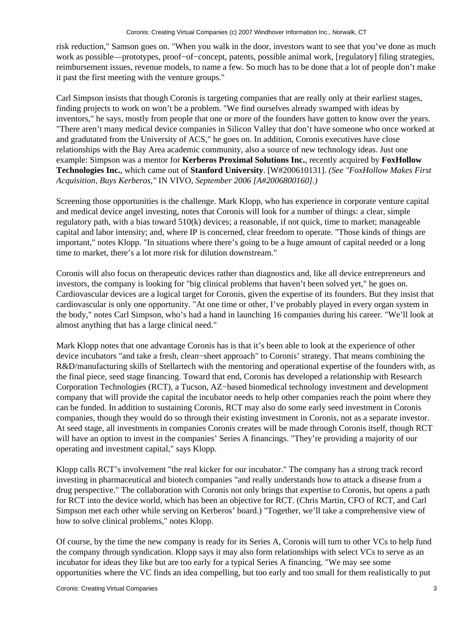risk reduction," Samson goes on. "When you walk in the door, investors want to see that you've done as much work as possible—prototypes, proof−of−concept, patents, possible animal work, [regulatory] filing strategies, reimbursement issues, revenue models, to name a few. So much has to be done that a lot of people don't make it past the first meeting with the venture groups."

Carl Simpson insists that though Coronis is targeting companies that are really only at their earliest stages, finding projects to work on won't be a problem. "We find ourselves already swamped with ideas by inventors," he says, mostly from people that one or more of the founders have gotten to know over the years. "There aren't many medical device companies in Silicon Valley that don't have someone who once worked at and gradutated from the University of ACS," he goes on. In addition, Coronis executives have close relationships with the Bay Area academic community, also a source of new technology ideas. Just one example: Simpson was a mentor for **Kerberos Proximal Solutions Inc.**, recently acquired by **FoxHollow Technologies Inc.**, which came out of **Stanford University**. [W#200610131]. *(See "FoxHollow Makes First Acquisition, Buys Kerberos,"* IN VIVO*, September 2006 [A#2006800160].)*

Screening those opportunities is the challenge. Mark Klopp, who has experience in corporate venture capital and medical device angel investing, notes that Coronis will look for a number of things: a clear, simple regulatory path, with a bias toward 510(k) devices; a reasonable, if not quick, time to market; manageable capital and labor intensity; and, where IP is concerned, clear freedom to operate. "Those kinds of things are important," notes Klopp. "In situations where there's going to be a huge amount of capital needed or a long time to market, there's a lot more risk for dilution downstream."

Coronis will also focus on therapeutic devices rather than diagnostics and, like all device entrepreneurs and investors, the company is looking for "big clinical problems that haven't been solved yet," he goes on. Cardiovascular devices are a logical target for Coronis, given the expertise of its founders. But they insist that cardiovascular is only one opportunity. "At one time or other, I've probably played in every organ system in the body," notes Carl Simpson, who's had a hand in launching 16 companies during his career. "We'll look at almost anything that has a large clinical need."

Mark Klopp notes that one advantage Coronis has is that it's been able to look at the experience of other device incubators "and take a fresh, clean−sheet approach" to Coronis' strategy. That means combining the R&D/manufacturing skills of Stellartech with the mentoring and operational expertise of the founders with, as the final piece, seed stage financing. Toward that end, Coronis has developed a relationship with Research Corporation Technologies (RCT), a Tucson, AZ−based biomedical technology investment and development company that will provide the capital the incubator needs to help other companies reach the point where they can be funded. In addition to sustaining Coronis, RCT may also do some early seed investment in Coronis companies, though they would do so through their existing investment in Coronis, not as a separate investor. At seed stage, all investments in companies Coronis creates will be made through Coronis itself, though RCT will have an option to invest in the companies' Series A financings. "They're providing a majority of our operating and investment capital," says Klopp.

Klopp calls RCT's involvement "the real kicker for our incubator." The company has a strong track record investing in pharmaceutical and biotech companies "and really understands how to attack a disease from a drug perspective." The collaboration with Coronis not only brings that expertise to Coronis, but opens a path for RCT into the device world, which has been an objective for RCT. (Chris Martin, CFO of RCT, and Carl Simpson met each other while serving on Kerberos' board.) "Together, we'll take a comprehensive view of how to solve clinical problems," notes Klopp.

Of course, by the time the new company is ready for its Series A, Coronis will turn to other VCs to help fund the company through syndication. Klopp says it may also form relationships with select VCs to serve as an incubator for ideas they like but are too early for a typical Series A financing. "We may see some opportunities where the VC finds an idea compelling, but too early and too small for them realistically to put